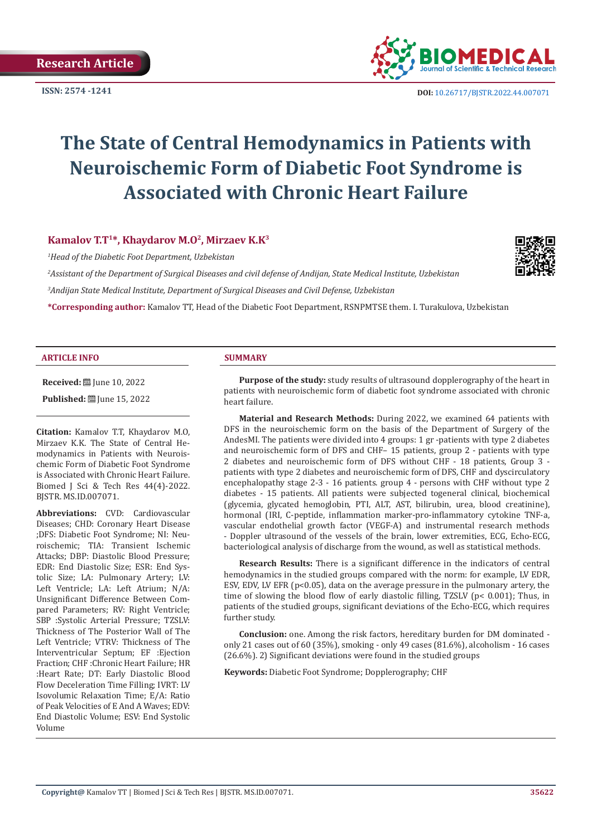

# **The State of Central Hemodynamics in Patients with Neuroischemic Form of Diabetic Foot Syndrome is Associated with Chronic Heart Failure**

#### **Kamalov T.T1\*, Khaydarov M.O2, Mirzaev K.K3**

*1 Head of the Diabetic Foot Department, Uzbekistan*

*2 Assistant of the Department of Surgical Diseases and civil defense of Andijan, State Medical Institute, Uzbekistan 3 Andijan State Medical Institute, Department of Surgical Diseases and Civil Defense, Uzbekistan*

**\*Corresponding author:** Kamalov TT, Head of the Diabetic Foot Department, RSNPMTSE them. I. Turakulova, Uzbekistan

#### **ARTICLE INFO SUMMARY**

**Received:** ■ June 10, 2022

**Published:** ■ June 15, 2022

**Citation:** Kamalov T.T, Khaydarov M.O, Mirzaev K.K. The State of Central Hemodynamics in Patients with Neuroischemic Form of Diabetic Foot Syndrome is Associated with Chronic Heart Failure. Biomed J Sci & Tech Res 44(4)-2022. BJSTR. MS.ID.007071.

**Abbreviations:** CVD: Cardiovascular Diseases; CHD: Coronary Heart Disease ;DFS: Diabetic Foot Syndrome; NI: Neuroischemic; TIA: Transient Ischemic Attacks; DBP: Diastolic Blood Pressure; EDR: End Diastolic Size; ESR: End Systolic Size; LA: Pulmonary Artery; LV: Left Ventricle; LA: Left Atrium; N/A: Unsignificant Difference Between Compared Parameters; RV: Right Ventricle; SBP :Systolic Arterial Pressure; TZSLV: Thickness of The Posterior Wall of The Left Ventricle; VTRV: Thickness of The Interventricular Septum; EF :Ejection Fraction; CHF :Chronic Heart Failure; HR :Heart Rate; DT: Early Diastolic Blood Flow Deceleration Time Filling; IVRT: LV Isovolumic Relaxation Time; E/A: Ratio of Peak Velocities of E And A Waves; EDV: End Diastolic Volume; ESV: End Systolic Volume

**Purpose of the study:** study results of ultrasound dopplerography of the heart in patients with neuroischemic form of diabetic foot syndrome associated with chronic heart failure.

**Material and Research Methods:** During 2022, we examined 64 patients with DFS in the neuroischemic form on the basis of the Department of Surgery of the AndesMI. The patients were divided into 4 groups: 1 gr -patients with type 2 diabetes and neuroischemic form of DFS and CHF– 15 patients, group 2 - patients with type 2 diabetes and neuroischemic form of DFS without CHF - 18 patients, Group 3 patients with type 2 diabetes and neuroischemic form of DFS, CHF and dyscirculatory encephalopathy stage 2-3 - 16 patients. group 4 - persons with CHF without type 2 diabetes - 15 patients. All patients were subjected togeneral clinical, biochemical (glycemia, glycated hemoglobin, PTI, ALT, AST, bilirubin, urea, blood creatinine), hormonal (IRI, C-peptide, inflammation marker-pro-inflammatory cytokine TNF-a, vascular endothelial growth factor (VEGF-A) and instrumental research methods - Doppler ultrasound of the vessels of the brain, lower extremities, ECG, Echo-ECG, bacteriological analysis of discharge from the wound, as well as statistical methods.

**Research Results:** There is a significant difference in the indicators of central hemodynamics in the studied groups compared with the norm: for example, LV EDR, ESV, EDV, LV EFR ( $p$ <0.05), data on the average pressure in the pulmonary artery, the time of slowing the blood flow of early diastolic filling, TZSLV (p< 0.001); Thus, in patients of the studied groups, significant deviations of the Echo-ECG, which requires further study.

**Conclusion:** one. Among the risk factors, hereditary burden for DM dominated only 21 cases out of 60 (35%), smoking - only 49 cases (81.6%), alcoholism - 16 cases (26.6%). 2) Significant deviations were found in the studied groups

**Keywords:** Diabetic Foot Syndrome; Dopplerography; CHF

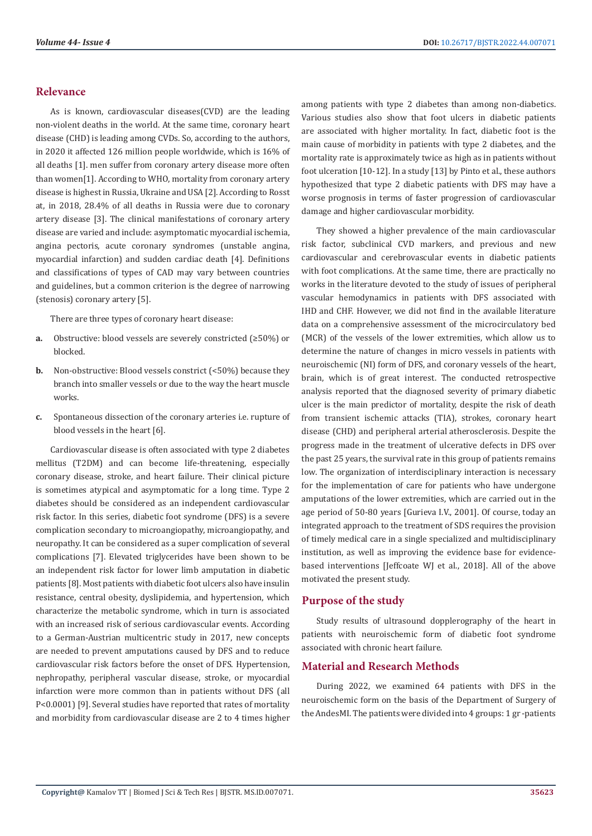# **Relevance**

As is known, cardiovascular diseases(CVD) are the leading non-violent deaths in the world. At the same time, coronary heart disease (CHD) is leading among CVDs. So, according to the authors, in 2020 it affected 126 million people worldwide, which is 16% of all deaths [1]. men suffer from coronary artery disease more often than women[1]. According to [WHO](https://ru.wikipedia.org/wiki/%D0%92%D1%81%D0%B5%D0%BC%D0%B8%D1%80%D0%BD%D0%B0%D1%8F_%D0%BE%D1%80%D0%B3%D0%B0%D0%BD%D0%B8%D0%B7%D0%B0%D1%86%D0%B8%D1%8F_%D0%B7%D0%B4%D1%80%D0%B0%D0%B2%D0%BE%D0%BE%D1%85%D1%80%D0%B0%D0%BD%D0%B5%D0%BD%D0%B8%D1%8F), mortality from coronary artery disease is highest in [Russia,](https://ru.wikipedia.org/wiki/%D0%A0%D0%BE%D1%81%D1%81%D0%B8%D1%8F) [Ukraine](https://ru.wikipedia.org/wiki/%D0%A3%D0%BA%D1%80%D0%B0%D0%B8%D0%BD%D0%B0) and [USA](https://ru.wikipedia.org/wiki/%D0%A1%D0%A8%D0%90) [2]. According to [Rosst](https://ru.wikipedia.org/wiki/%D0%A4%D0%B5%D0%B4%D0%B5%D1%80%D0%B0%D0%BB%D1%8C%D0%BD%D0%B0%D1%8F_%D1%81%D0%BB%D1%83%D0%B6%D0%B1%D0%B0_%D0%B3%D0%BE%D1%81%D1%83%D0%B4%D0%B0%D1%80%D1%81%D1%82%D0%B2%D0%B5%D0%BD%D0%BD%D0%BE%D0%B9_%D1%81%D1%82%D0%B0%D1%82%D0%B8%D1%81%D1%82%D0%B8%D0%BA%D0%B8)  [at,](https://ru.wikipedia.org/wiki/%D0%A4%D0%B5%D0%B4%D0%B5%D1%80%D0%B0%D0%BB%D1%8C%D0%BD%D0%B0%D1%8F_%D1%81%D0%BB%D1%83%D0%B6%D0%B1%D0%B0_%D0%B3%D0%BE%D1%81%D1%83%D0%B4%D0%B0%D1%80%D1%81%D1%82%D0%B2%D0%B5%D0%BD%D0%BD%D0%BE%D0%B9_%D1%81%D1%82%D0%B0%D1%82%D0%B8%D1%81%D1%82%D0%B8%D0%BA%D0%B8) in 2018, 28.4% of all deaths in Russia were due to coronary artery disease [3]. The clinical manifestations of coronary artery disease are varied and include: asymptomatic myocardial ischemia, [angina pectoris,](https://ru.wikipedia.org/wiki/%D0%A1%D1%82%D0%B5%D0%BD%D0%BE%D0%BA%D0%B0%D1%80%D0%B4%D0%B8%D1%8F) acute coronary syndromes (unstable angina, myocardial infarction) and sudden cardiac death [4]. Definitions and classifications of types of CAD may vary between countries and guidelines, but a common criterion is the degree of narrowing [\(stenosis\)](https://ru.wikipedia.org/wiki/%D0%A1%D1%82%D0%B5%D0%BD%D0%BE%D0%B7) coronary artery [5].

There are three types of coronary heart disease:

- **a.** Obstructive: blood vessels are severely constricted (≥50%) or blocked.
- **b.** Non-obstructive: Blood vessels constrict (<50%) because they branch into smaller vessels or due to the way the heart muscle works.
- **c.** Spontaneous dissection of the coronary arteries i.e. rupture of blood vessels in the heart [6].

Cardiovascular disease is often associated with type 2 diabetes mellitus (T2DM) and can become life-threatening, especially coronary disease, stroke, and heart failure. Their clinical picture is sometimes atypical and asymptomatic for a long time. Type 2 diabetes should be considered as an independent cardiovascular risk factor. In this series, diabetic foot syndrome (DFS) is a severe complication secondary to microangiopathy, microangiopathy, and neuropathy. It can be considered as a super complication of several complications [7]. Elevated triglycerides have been shown to be an independent risk factor for lower limb amputation in diabetic patients [8]. Most patients with diabetic foot ulcers also have insulin resistance, central obesity, dyslipidemia, and hypertension, which characterize the metabolic syndrome, which in turn is associated with an increased risk of serious cardiovascular events. According to a German-Austrian multicentric study in 2017, new concepts are needed to prevent amputations caused by DFS and to reduce cardiovascular risk factors before the onset of DFS. Hypertension, nephropathy, peripheral vascular disease, stroke, or myocardial infarction were more common than in patients without DFS (all P<0.0001) [9]. Several studies have reported that rates of mortality and morbidity from cardiovascular disease are 2 to 4 times higher among patients with type 2 diabetes than among non-diabetics. Various studies also show that foot ulcers in diabetic patients are associated with higher mortality. In fact, diabetic foot is the main cause of morbidity in patients with type 2 diabetes, and the mortality rate is approximately twice as high as in patients without foot ulceration [10-12]. In a study [13] by Pinto et al., these authors hypothesized that type 2 diabetic patients with DFS may have a worse prognosis in terms of faster progression of cardiovascular damage and higher cardiovascular morbidity.

They showed a higher prevalence of the main cardiovascular risk factor, subclinical CVD markers, and previous and new cardiovascular and cerebrovascular events in diabetic patients with foot complications. At the same time, there are practically no works in the literature devoted to the study of issues of peripheral vascular hemodynamics in patients with DFS associated with IHD and CHF. However, we did not find in the available literature data on a comprehensive assessment of the microcirculatory bed (MCR) of the vessels of the lower extremities, which allow us to determine the nature of changes in micro vessels in patients with neuroischemic (NI) form of DFS, and coronary vessels of the heart, brain, which is of great interest. The conducted retrospective analysis reported that the diagnosed severity of primary diabetic ulcer is the main predictor of mortality, despite the risk of death from transient ischemic attacks (TIA), strokes, coronary heart disease (CHD) and peripheral arterial atherosclerosis. Despite the progress made in the treatment of ulcerative defects in DFS over the past 25 years, the survival rate in this group of patients remains low. The organization of interdisciplinary interaction is necessary for the implementation of care for patients who have undergone amputations of the lower extremities, which are carried out in the age period of 50-80 years [Gurieva I.V., 2001]. Of course, today an integrated approach to the treatment of SDS requires the provision of timely medical care in a single specialized and multidisciplinary institution, as well as improving the evidence base for evidencebased interventions [Jeffcoate WJ et al., 2018]. All of the above motivated the present study.

# **Purpose of the study**

Study results of ultrasound dopplerography of the heart in patients with neuroischemic form of diabetic foot syndrome associated with chronic heart failure.

# **Material and Research Methods**

During 2022, we examined 64 patients with DFS in the neuroischemic form on the basis of the Department of Surgery of the AndesMI. The patients were divided into 4 groups: 1 gr -patients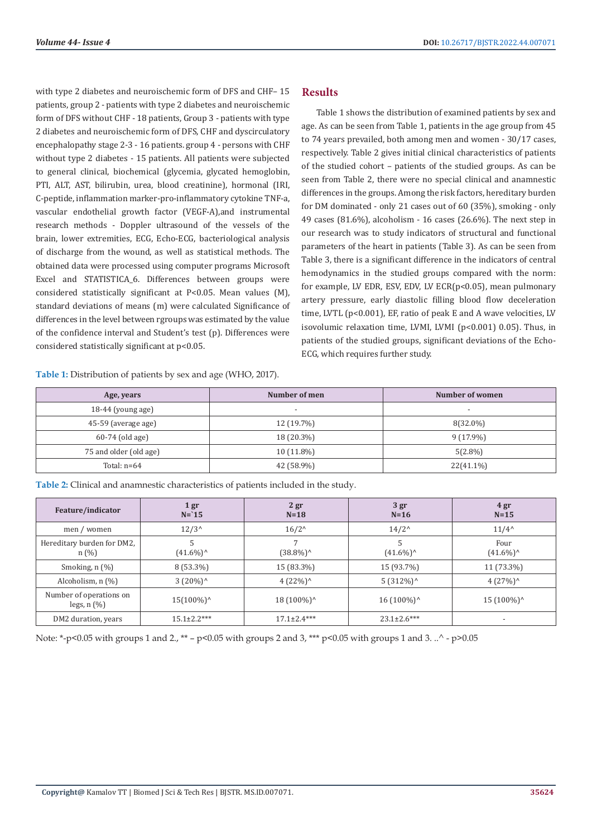with type 2 diabetes and neuroischemic form of DFS and CHF– 15 patients, group 2 - patients with type 2 diabetes and neuroischemic form of DFS without CHF - 18 patients, Group 3 - patients with type 2 diabetes and neuroischemic form of DFS, CHF and dyscirculatory encephalopathy stage 2-3 - 16 patients. group 4 - persons with CHF without type 2 diabetes - 15 patients. All patients were subjected to general clinical, biochemical (glycemia, glycated hemoglobin, PTI, ALT, AST, bilirubin, urea, blood creatinine), hormonal (IRI, C-peptide, inflammation marker-pro-inflammatory cytokine TNF-a, vascular endothelial growth factor (VEGF-A),and instrumental research methods - Doppler ultrasound of the vessels of the brain, lower extremities, ECG, Echo-ECG, bacteriological analysis of discharge from the wound, as well as statistical methods. The obtained data were processed using computer programs Microsoft Excel and STATISTICA 6. Differences between groups were considered statistically significant at P<0.05. Mean values (M), standard deviations of means (m) were calculated Significance of differences in the level between rgroups was estimated by the value of the confidence interval and Student's test (p). Differences were considered statistically significant at p<0.05.

**Table 1:** Distribution of patients by sex and age (WHO, 2017).

# **Results**

Table 1 shows the distribution of examined patients by sex and age. As can be seen from Table 1, patients in the age group from 45 to 74 years prevailed, both among men and women - 30/17 cases, respectively. Table 2 gives initial clinical characteristics of patients of the studied cohort – patients of the studied groups. As can be seen from Table 2, there were no special clinical and anamnestic differences in the groups. Among the risk factors, hereditary burden for DM dominated - only 21 cases out of 60 (35%), smoking - only 49 cases (81.6%), alcoholism - 16 cases (26.6%). The next step in our research was to study indicators of structural and functional parameters of the heart in patients (Table 3). As can be seen from Table 3, there is a significant difference in the indicators of central hemodynamics in the studied groups compared with the norm: for example, LV EDR, ESV, EDV, LV ECR(p<0.05), mean pulmonary artery pressure, early diastolic filling blood flow deceleration time, LVTL (p<0.001), EF, ratio of peak E and A wave velocities, LV isovolumic relaxation time, LVMI, LVMI (p<0.001) 0.05). Thus, in patients of the studied groups, significant deviations of the Echo-ECG, which requires further study.

| Age, years             | Number of men            | Number of women          |
|------------------------|--------------------------|--------------------------|
| $18-44$ (young age)    | $\overline{\phantom{a}}$ | $\overline{\phantom{a}}$ |
| 45-59 (average age)    | $12(19.7\%)$             | 8(32.0%)                 |
| $60-74$ (old age)      | 18 (20.3%)               | $9(17.9\%)$              |
| 75 and older (old age) | $10(11.8\%)$             | $5(2.8\%)$               |
| Total: $n=64$          | 42 (58.9%)               | 22(41.1%)                |

**Table 2:** Clinical and anamnestic characteristics of patients included in the study.

| Feature/indicator                           | 1gr<br>$N = 15$          | 2 <sub>gr</sub><br>$N=18$ | 3 <sub>gr</sub><br>$N=16$ | 4 gr<br>$N=15$              |
|---------------------------------------------|--------------------------|---------------------------|---------------------------|-----------------------------|
| men / women                                 | $12/3^{\wedge}$          | $16/2^{\wedge}$           | $14/2^{\wedge}$           | $11/4^{\wedge}$             |
| Hereditary burden for DM2,<br>n(%)          | 5<br>$(41.6\%)^{\wedge}$ | (38.8%)^                  | 5<br>$(41.6\%)^{\wedge}$  | Four<br>$(41.6\%)^{\wedge}$ |
| Smoking, $n$ $(\%)$                         | 8 (53.3%)                | 15 (83.3%)                | 15 (93.7%)                | 11 (73.3%)                  |
| Alcoholism, $n$ $(\%)$                      | $3(20\%)^{\wedge}$       | $4(22\%)^{\wedge}$        | $5(312\%)^{\wedge}$       | $4(27%)^{\wedge}$           |
| Number of operations on<br>legs, $n$ $(\%)$ | $15(100\%)^{\wedge}$     | 18 (100%) <sup>^</sup>    | $16(100\%)^$              | $15(100\%)^{\wedge}$        |
| DM2 duration, years                         | $15.1 \pm 2.2$ ***       | $17.1 \pm 2.4***$         | $23.1 \pm 2.6$ ***        |                             |

Note: \*-p<0.05 with groups 1 and 2., \*\* – p<0.05 with groups 2 and 3, \*\*\* p<0.05 with groups 1 and 3. ..^ - p>0.05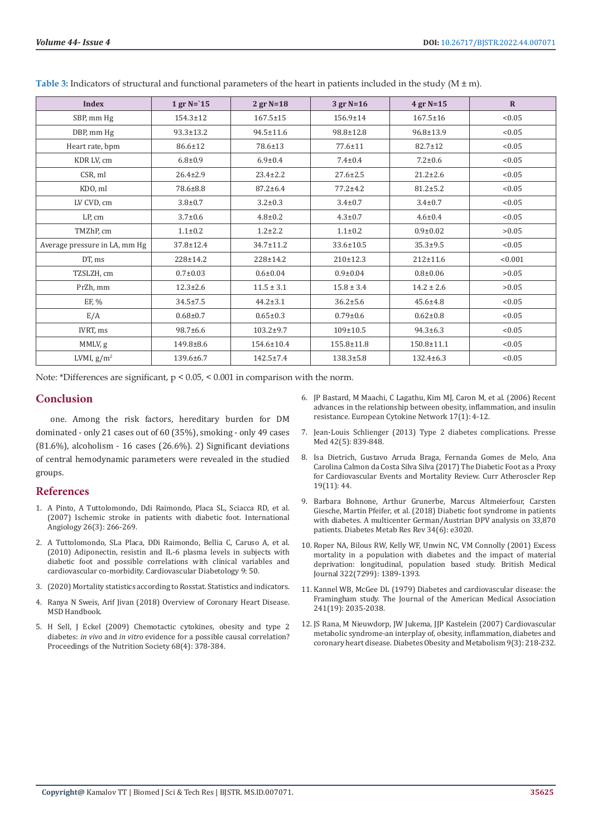| <b>Index</b>                  | $1$ gr N= $15$  | $2$ gr N=18     | $3$ gr N=16     | $4$ gr N=15    | $\mathbf{R}$ |
|-------------------------------|-----------------|-----------------|-----------------|----------------|--------------|
| SBP, mm Hg                    | $154.3 \pm 12$  | $167.5 \pm 15$  | $156.9 \pm 14$  | $167.5 \pm 16$ | < 0.05       |
| DBP, mm Hg                    | $93.3 \pm 13.2$ | 94.5±11.6       | 98.8±12.8       | 96.8±13.9      | < 0.05       |
| Heart rate, bpm               | 86.6±12         | 78.6±13         | 77.6±11         | $82.7 \pm 12$  | < 0.05       |
| KDR LV, cm                    | $6.8 \pm 0.9$   | $6.9 \pm 0.4$   | $7.4 \pm 0.4$   | $7.2 \pm 0.6$  | < 0.05       |
| CSR, ml                       | $26.4 \pm 2.9$  | $23.4 \pm 2.2$  | $27.6 \pm 2.5$  | $21.2 \pm 2.6$ | < 0.05       |
| KDO, ml                       | 78.6±8.8        | $87.2 \pm 6.4$  | $77.2 \pm 4.2$  | $81.2 \pm 5.2$ | < 0.05       |
| LV CVD, cm                    | $3.8 + 0.7$     | $3.2 \pm 0.3$   | $3.4 \pm 0.7$   | $3.4 \pm 0.7$  | < 0.05       |
| LP, cm                        | $3.7 \pm 0.6$   | $4.8 \pm 0.2$   | $4.3 \pm 0.7$   | $4.6 \pm 0.4$  | < 0.05       |
| TMZhP, cm                     | $1.1 \pm 0.2$   | $1.2 \pm 2.2$   | $1.1 \pm 0.2$   | $0.9 \pm 0.02$ | >0.05        |
| Average pressure in LA, mm Hg | 37.8±12.4       | 34.7±11.2       | 33.6±10.5       | $35.3 \pm 9.5$ | < 0.05       |
| DT, ms                        | 228±14.2        | 228±14.2        | 210±12.3        | $212 \pm 11.6$ | < 0.001      |
| TZSLZH, cm                    | $0.7 \pm 0.03$  | $0.6 \pm 0.04$  | $0.9 + 0.04$    | $0.8 + 0.06$   | >0.05        |
| PrZh, mm                      | $12.3 \pm 2.6$  | $11.5 \pm 3.1$  | $15.8 \pm 3.4$  | $14.2 \pm 2.6$ | >0.05        |
| EF, %                         | $34.5 \pm 7.5$  | $44.2 \pm 3.1$  | $36.2 \pm 5.6$  | $45.6 \pm 4.8$ | < 0.05       |
| E/A                           | $0.68 + 0.7$    | $0.65 \pm 0.3$  | $0.79 \pm 0.6$  | $0.62 \pm 0.8$ | < 0.05       |
| IVRT, ms                      | 98.7±6.6        | 103.2±9.7       | 109±10.5        | $94.3 \pm 6.3$ | < 0.05       |
| MMLV, g                       | 149.8±8.6       | 154.6±10.4      | 155.8±11.8      | 150.8±11.1     | < 0.05       |
| LVMI, $g/m^2$                 | $139.6 \pm 6.7$ | $142.5 \pm 7.4$ | $138.3 \pm 5.8$ | 132.4±6.3      | < 0.05       |

**Table 3:** Indicators of structural and functional parameters of the heart in patients included in the study (M ± m).

Note: \*Differences are significant, p < 0.05, < 0.001 in comparison with the norm.

#### **Conclusion**

one. Among the risk factors, hereditary burden for DM dominated - only 21 cases out of 60 (35%), smoking - only 49 cases (81.6%), alcoholism - 16 cases (26.6%). 2) Significant deviations of central hemodynamic parameters were revealed in the studied groups.

#### **References**

- 1. [A Pinto, A Tuttolomondo, Ddi Raimondo, Placa SL, Sciacca RD, et al.](https://pubmed.ncbi.nlm.nih.gov/17622210/)  [\(2007\) Ischemic stroke in patients with diabetic foot. International](https://pubmed.ncbi.nlm.nih.gov/17622210/)  [Angiology 26\(3\): 266-269.](https://pubmed.ncbi.nlm.nih.gov/17622210/)
- 2. [A Tuttolomondo, SLa Placa, DDi Raimondo, Bellia C, Caruso A, et al.](https://pubmed.ncbi.nlm.nih.gov/20836881/)  [\(2010\) Adiponectin, resistin and IL-6 plasma levels in subjects with](https://pubmed.ncbi.nlm.nih.gov/20836881/)  [diabetic foot and possible correlations with clinical variables and](https://pubmed.ncbi.nlm.nih.gov/20836881/)  [cardiovascular co-morbidity. Cardiovascular Diabetology 9: 50.](https://pubmed.ncbi.nlm.nih.gov/20836881/)
- 3. (2020) Mortality statistics according to Rosstat. Statistics and indicators.
- 4. [Ranya N Sweis, Arif Jivan \(2018\) Overview of Coronary Heart Disease.](https://www.merckmanuals.com/en-ca/professional/cardiovascular-disorders/coronary-artery-disease/overview-of-coronary-artery-disease)  [MSD Handbook.](https://www.merckmanuals.com/en-ca/professional/cardiovascular-disorders/coronary-artery-disease/overview-of-coronary-artery-disease)
- 5. [H Sell, J Eckel \(2009\) Chemotactic cytokines, obesity and type 2](https://pubmed.ncbi.nlm.nih.gov/19698204/)  diabetes: *in vivo* and *in vitro* [evidence for a possible causal correlation?](https://pubmed.ncbi.nlm.nih.gov/19698204/)  [Proceedings of the Nutrition Society 68\(4\): 378-384.](https://pubmed.ncbi.nlm.nih.gov/19698204/)
- 6. [JP Bastard, M Maachi, C Lagathu, Kim MJ, Caron M, et al. \(2006\) Recent](https://pubmed.ncbi.nlm.nih.gov/16613757/) [advances in the relationship between obesity, inflammation, and insulin](https://pubmed.ncbi.nlm.nih.gov/16613757/) [resistance. European Cytokine Network 17\(1\): 4-12.](https://pubmed.ncbi.nlm.nih.gov/16613757/)
- 7. [Jean-Louis Schlienger \(2013\) Type 2 diabetes complications. Presse](https://pubmed.ncbi.nlm.nih.gov/?term=Schlienger+JL&cauthor_id=23528336) [Med 42\(5\): 839-848.](https://pubmed.ncbi.nlm.nih.gov/?term=Schlienger+JL&cauthor_id=23528336)
- 8. [Isa Dietrich, Gustavo Arruda Braga, Fernanda Gomes de Melo, Ana](https://pubmed.ncbi.nlm.nih.gov/28971322/) [Carolina Calmon da Costa Silva Silva \(2017\) The Diabetic Foot as a Proxy](https://pubmed.ncbi.nlm.nih.gov/28971322/) [for Cardiovascular Events and Mortality Review. Curr Atheroscler Rep](https://pubmed.ncbi.nlm.nih.gov/28971322/) [19\(11\): 44.](https://pubmed.ncbi.nlm.nih.gov/28971322/)
- 9. [Barbara Bohnone, Arthur Grunerbe, Marcus Altmeierfour, Carsten](https://pubmed.ncbi.nlm.nih.gov/29726089/) [Giesche, Martin Pfeifer, et al. \(2018\) Diabetic foot syndrome in patients](https://pubmed.ncbi.nlm.nih.gov/29726089/) [with diabetes. A multicenter German/Austrian DPV analysis on 33,870](https://pubmed.ncbi.nlm.nih.gov/29726089/) [patients. Diabetes Metab Res Rev 34\(6\): e3020.](https://pubmed.ncbi.nlm.nih.gov/29726089/)
- 10. [Roper NA, Bilous RW, Kelly WF, Unwin NC, VM Connolly \(2001\) Excess](https://www.ncbi.nlm.nih.gov/pmc/articles/PMC32252/) [mortality in a population with diabetes and the impact of material](https://www.ncbi.nlm.nih.gov/pmc/articles/PMC32252/) [deprivation: longitudinal, population based study. British Medical](https://www.ncbi.nlm.nih.gov/pmc/articles/PMC32252/) [Journal 322\(7299\): 1389-1393.](https://www.ncbi.nlm.nih.gov/pmc/articles/PMC32252/)
- 11. [Kannel WB, McGee DL \(1979\) Diabetes and cardiovascular disease: the](https://pubmed.ncbi.nlm.nih.gov/430798/) [Framingham study. The Journal of the American Medical Association](https://pubmed.ncbi.nlm.nih.gov/430798/) [241\(19\): 2035-2038.](https://pubmed.ncbi.nlm.nih.gov/430798/)
- 12. [JS Rana, M Nieuwdorp, JW Jukema, JJP Kastelein \(2007\) Cardiovascular](https://pubmed.ncbi.nlm.nih.gov/17391148/) [metabolic syndrome-an interplay of, obesity, inflammation, diabetes and](https://pubmed.ncbi.nlm.nih.gov/17391148/) [coronary heart disease. Diabetes Obesity and Metabolism 9\(3\): 218-232.](https://pubmed.ncbi.nlm.nih.gov/17391148/)